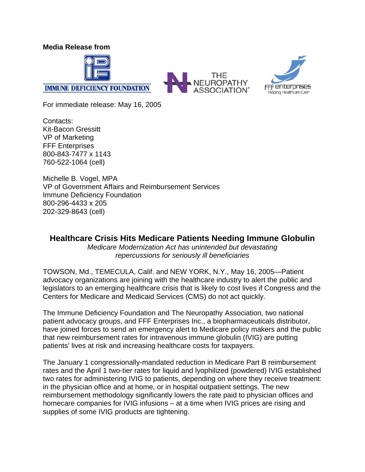**Media Release from** 



**IMMUNE DEFICIENCY FOUNDATION** 





For immediate release: May 16, 2005

Contacts: Kit-Bacon Gressitt VP of Marketing FFF Enterprises 800-843-7477 x 1143 760-522-1064 (cell)

Michelle B. Vogel, MPA VP of Government Affairs and Reimbursement Services Immune Deficiency Foundation 800-296-4433 x 205 202-329-8643 (cell)

### **Healthcare Crisis Hits Medicare Patients Needing Immune Globulin**

*Medicare Modernization Act has unintended but devastating repercussions for seriously ill beneficiaries* 

TOWSON, Md., TEMECULA, Calif. and NEW YORK, N.Y., May 16, 2005—Patient advocacy organizations are joining with the healthcare industry to alert the public and legislators to an emerging healthcare crisis that is likely to cost lives if Congress and the Centers for Medicare and Medicaid Services (CMS) do not act quickly.

The Immune Deficiency Foundation and The Neuropathy Association, two national patient advocacy groups, and FFF Enterprises Inc., a biopharmaceuticals distributor, have joined forces to send an emergency alert to Medicare policy makers and the public that new reimbursement rates for intravenous immune globulin (IVIG) are putting patients' lives at risk and increasing healthcare costs for taxpayers.

The January 1 congressionally-mandated reduction in Medicare Part B reimbursement rates and the April 1 two-tier rates for liquid and lyophilized (powdered) IVIG established two rates for administering IVIG to patients, depending on where they receive treatment: in the physician office and at home, or in hospital outpatient settings. The new reimbursement methodology significantly lowers the rate paid to physician offices and homecare companies for IVIG infusions – at a time when IVIG prices are rising and supplies of some IVIG products are tightening.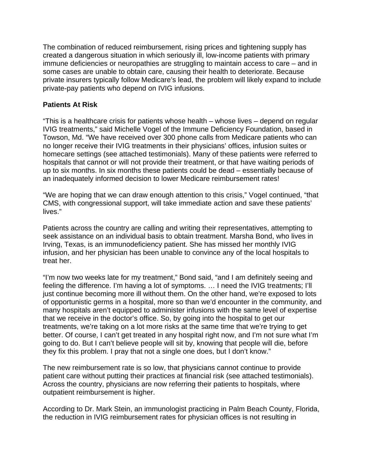The combination of reduced reimbursement, rising prices and tightening supply has created a dangerous situation in which seriously ill, low-income patients with primary immune deficiencies or neuropathies are struggling to maintain access to care – and in some cases are unable to obtain care, causing their health to deteriorate. Because private insurers typically follow Medicare's lead, the problem will likely expand to include private-pay patients who depend on IVIG infusions.

#### **Patients At Risk**

"This is a healthcare crisis for patients whose health – whose lives – depend on regular IVIG treatments," said Michelle Vogel of the Immune Deficiency Foundation, based in Towson, Md. "We have received over 300 phone calls from Medicare patients who can no longer receive their IVIG treatments in their physicians' offices, infusion suites or homecare settings (see attached testimonials). Many of these patients were referred to hospitals that cannot or will not provide their treatment, or that have waiting periods of up to six months. In six months these patients could be dead – essentially because of an inadequately informed decision to lower Medicare reimbursement rates!

"We are hoping that we can draw enough attention to this crisis," Vogel continued, "that CMS, with congressional support, will take immediate action and save these patients' lives."

Patients across the country are calling and writing their representatives, attempting to seek assistance on an individual basis to obtain treatment. Marsha Bond, who lives in Irving, Texas, is an immunodeficiency patient. She has missed her monthly IVIG infusion, and her physician has been unable to convince any of the local hospitals to treat her.

"I'm now two weeks late for my treatment," Bond said, "and I am definitely seeing and feeling the difference. I'm having a lot of symptoms. … I need the IVIG treatments; I'll just continue becoming more ill without them. On the other hand, we're exposed to lots of opportunistic germs in a hospital, more so than we'd encounter in the community, and many hospitals aren't equipped to administer infusions with the same level of expertise that we receive in the doctor's office. So, by going into the hospital to get our treatments, we're taking on a lot more risks at the same time that we're trying to get better. Of course, I can't get treated in any hospital right now, and I'm not sure what I'm going to do. But I can't believe people will sit by, knowing that people will die, before they fix this problem. I pray that not a single one does, but I don't know."

The new reimbursement rate is so low, that physicians cannot continue to provide patient care without putting their practices at financial risk (see attached testimonials). Across the country, physicians are now referring their patients to hospitals, where outpatient reimbursement is higher.

According to Dr. Mark Stein, an immunologist practicing in Palm Beach County, Florida, the reduction in IVIG reimbursement rates for physician offices is not resulting in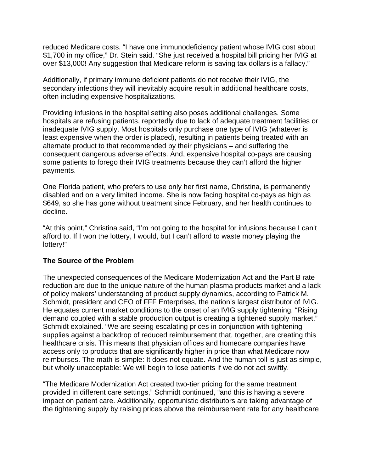reduced Medicare costs. "I have one immunodeficiency patient whose IVIG cost about \$1,700 in my office," Dr. Stein said. "She just received a hospital bill pricing her IVIG at over \$13,000! Any suggestion that Medicare reform is saving tax dollars is a fallacy."

Additionally, if primary immune deficient patients do not receive their IVIG, the secondary infections they will inevitably acquire result in additional healthcare costs, often including expensive hospitalizations.

Providing infusions in the hospital setting also poses additional challenges. Some hospitals are refusing patients, reportedly due to lack of adequate treatment facilities or inadequate IVIG supply. Most hospitals only purchase one type of IVIG (whatever is least expensive when the order is placed), resulting in patients being treated with an alternate product to that recommended by their physicians – and suffering the consequent dangerous adverse effects. And, expensive hospital co-pays are causing some patients to forego their IVIG treatments because they can't afford the higher payments.

One Florida patient, who prefers to use only her first name, Christina, is permanently disabled and on a very limited income. She is now facing hospital co-pays as high as \$649, so she has gone without treatment since February, and her health continues to decline.

"At this point," Christina said, "I'm not going to the hospital for infusions because I can't afford to. If I won the lottery, I would, but I can't afford to waste money playing the lottery!"

#### **The Source of the Problem**

The unexpected consequences of the Medicare Modernization Act and the Part B rate reduction are due to the unique nature of the human plasma products market and a lack of policy makers' understanding of product supply dynamics, according to Patrick M. Schmidt, president and CEO of FFF Enterprises, the nation's largest distributor of IVIG. He equates current market conditions to the onset of an IVIG supply tightening. "Rising demand coupled with a stable production output is creating a tightened supply market," Schmidt explained. "We are seeing escalating prices in conjunction with tightening supplies against a backdrop of reduced reimbursement that, together, are creating this healthcare crisis. This means that physician offices and homecare companies have access only to products that are significantly higher in price than what Medicare now reimburses. The math is simple: It does not equate. And the human toll is just as simple, but wholly unacceptable: We will begin to lose patients if we do not act swiftly.

"The Medicare Modernization Act created two-tier pricing for the same treatment provided in different care settings," Schmidt continued, "and this is having a severe impact on patient care. Additionally, opportunistic distributors are taking advantage of the tightening supply by raising prices above the reimbursement rate for any healthcare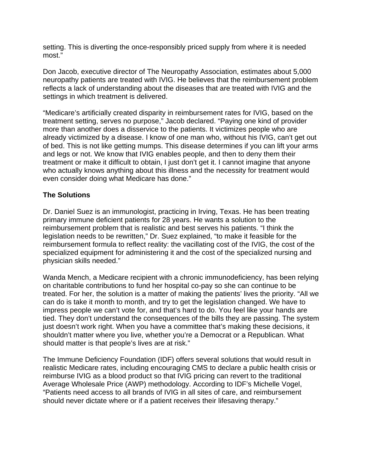setting. This is diverting the once-responsibly priced supply from where it is needed most."

Don Jacob, executive director of The Neuropathy Association, estimates about 5,000 neuropathy patients are treated with IVIG. He believes that the reimbursement problem reflects a lack of understanding about the diseases that are treated with IVIG and the settings in which treatment is delivered.

"Medicare's artificially created disparity in reimbursement rates for IVIG, based on the treatment setting, serves no purpose," Jacob declared. "Paying one kind of provider more than another does a disservice to the patients. It victimizes people who are already victimized by a disease. I know of one man who, without his IVIG, can't get out of bed. This is not like getting mumps. This disease determines if you can lift your arms and legs or not. We know that IVIG enables people, and then to deny them their treatment or make it difficult to obtain, I just don't get it. I cannot imagine that anyone who actually knows anything about this illness and the necessity for treatment would even consider doing what Medicare has done."

#### **The Solutions**

Dr. Daniel Suez is an immunologist, practicing in Irving, Texas. He has been treating primary immune deficient patients for 28 years. He wants a solution to the reimbursement problem that is realistic and best serves his patients. "I think the legislation needs to be rewritten," Dr. Suez explained, "to make it feasible for the reimbursement formula to reflect reality: the vacillating cost of the IVIG, the cost of the specialized equipment for administering it and the cost of the specialized nursing and physician skills needed."

Wanda Mench, a Medicare recipient with a chronic immunodeficiency, has been relying on charitable contributions to fund her hospital co-pay so she can continue to be treated. For her, the solution is a matter of making the patients' lives the priority. "All we can do is take it month to month, and try to get the legislation changed. We have to impress people we can't vote for, and that's hard to do. You feel like your hands are tied. They don't understand the consequences of the bills they are passing. The system just doesn't work right. When you have a committee that's making these decisions, it shouldn't matter where you live, whether you're a Democrat or a Republican. What should matter is that people's lives are at risk."

The Immune Deficiency Foundation (IDF) offers several solutions that would result in realistic Medicare rates, including encouraging CMS to declare a public health crisis or reimburse IVIG as a blood product so that IVIG pricing can revert to the traditional Average Wholesale Price (AWP) methodology. According to IDF's Michelle Vogel, "Patients need access to all brands of IVIG in all sites of care, and reimbursement should never dictate where or if a patient receives their lifesaving therapy."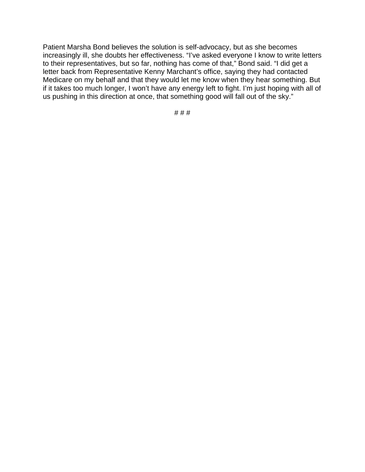Patient Marsha Bond believes the solution is self-advocacy, but as she becomes increasingly ill, she doubts her effectiveness. "I've asked everyone I know to write letters to their representatives, but so far, nothing has come of that," Bond said. "I did get a letter back from Representative Kenny Marchant's office, saying they had contacted Medicare on my behalf and that they would let me know when they hear something. But if it takes too much longer, I won't have any energy left to fight. I'm just hoping with all of us pushing in this direction at once, that something good will fall out of the sky."

# # #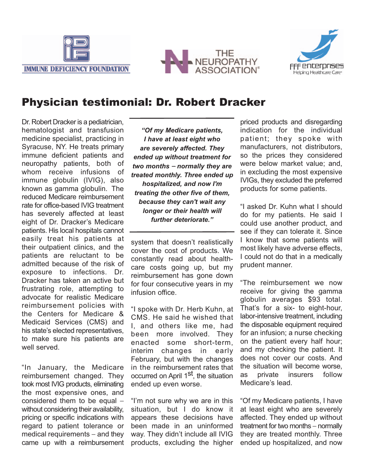





# Physician testimonial: Dr. Robert Dracker

Dr. Robert Dracker is a pediatrician, hematologist and transfusion medicine specialist, practicing in Syracuse, NY. He treats primary immune deficient patients and neuropathy patients, both of whom receive infusions of immune globulin (IVIG), also known as gamma globulin. The reduced Medicare reimbursement rate for office-based IVIG treatment has severely affected at least eight of Dr. Dracker's Medicare patients. His local hospitals cannot easily treat his patients at their outpatient clinics, and the patients are reluctant to be admitted because of the risk of exposure to infections. Dr. Dracker has taken an active but frustrating role, attempting to advocate for realistic Medicare reimbursement policies with the Centers for Medicare & Medicaid Services (CMS) and his state's elected representatives, to make sure his patients are well served.

"In January, the Medicare reimbursement changed. They took most IVIG products, eliminating the most expensive ones, and considered them to be equal – without considering their availability, pricing or specific indications with regard to patient tolerance or medical requirements – and they came up with a reimbursement

*"Of my Medicare patients, I have at least eight who are severely affected. They ended up without treatment for two months* <sup>−</sup> *normally they are treated monthly. Three ended up hospitalized, and now I'm treating the other five of them, because they can't wait any longer or their health will further deteriorate."*

system that doesn't realistically cover the cost of products. We constantly read about healthcare costs going up, but my reimbursement has gone down for four consecutive years in my infusion office.

"I spoke with Dr. Herb Kuhn, at CMS. He said he wished that I, and others like me, had been more involved. They enacted some short-term, interim changes in early February, but with the changes in the reimbursement rates that occurred on April 1<sup>st</sup>, the situation ended up even worse.

"I'm not sure why we are in this situation, but I do know it appears these decisions have been made in an uninformed way. They didn't include all IVIG products, excluding the higher

priced products and disregarding indication for the individual patient; they spoke with manufacturers, not distributors, so the prices they considered were below market value; and, in excluding the most expensive IVIGs, they excluded the preferred products for some patients.

"I asked Dr. Kuhn what I should do for my patients. He said I could use another product, and see if they can tolerate it. Since I know that some patients will most likely have adverse effects, I could not do that in a medically prudent manner.

"The reimbursement we now receive for giving the gamma globulin averages \$93 total. That's for a six- to eight-hour, labor-intensive treatment, including the disposable equipment required for an infusion; a nurse checking on the patient every half hour; and my checking the patient. It does not cover our costs. And the situation will become worse, as private insurers follow Medicare's lead.

"Of my Medicare patients, I have at least eight who are severely affected. They ended up without treatment for two months – normally they are treated monthly. Three ended up hospitalized, and now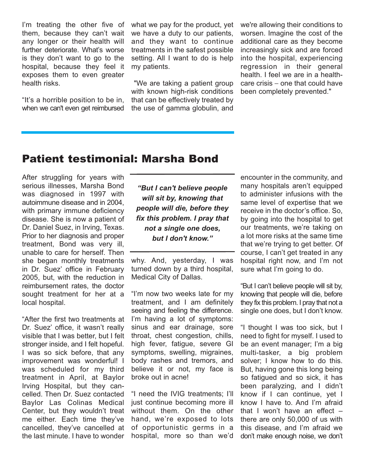I'm treating the other five of them, because they can't wait any longer or their health will further deteriorate. What's worse is they don't want to go to the hospital, because they feel it exposes them to even greater health risks.

"It's a horrible position to be in, when we can't even get reimbursed what we pay for the product, yet we have a duty to our patients, and they want to continue treatments in the safest possible setting. All I want to do is help my patients.

"We are taking a patient group with known high-risk conditions that can be effectively treated by the use of gamma globulin, and we're allowing their conditions to worsen. Imagine the cost of the additional care as they become increasingly sick and are forced into the hospital, experiencing regression in their general health. I feel we are in a healthcare crisis − one that could have been completely prevented."

# Patient testimonial: Marsha Bond

After struggling for years with serious illnesses, Marsha Bond was diagnosed in 1997 with autoimmune disease and in 2004, with primary immune deficiency disease. She is now a patient of Dr. Daniel Suez, in Irving, Texas. Prior to her diagnosis and proper treatment, Bond was very ill, unable to care for herself. Then she began monthly treatments in Dr. Suez' office in February 2005, but, with the reduction in reimbursement rates, the doctor sought treatment for her at a local hospital.

"After the first two treatments at Dr. Suez' office, it wasn't really visible that I was better, but I felt stronger inside, and I felt hopeful. I was so sick before, that any improvement was wonderful! I was scheduled for my third treatment in April, at Baylor Irving Hospital, but they cancelled. Then Dr. Suez contacted Baylor Las Colinas Medical Center, but they wouldn't treat me either. Each time they've cancelled, they've cancelled at the last minute. I have to wonder

*"But I can't believe people will sit by, knowing that people will die, before they fix this problem. I pray that not a single one does, but I don't know."*

why. And, yesterday, I was turned down by a third hospital, Medical City of Dallas.

"I'm now two weeks late for my treatment, and I am definitely seeing and feeling the difference. I'm having a lot of symptoms: sinus and ear drainage, sore throat, chest congestion, chills, high fever, fatigue, severe GI symptoms, swelling, migraines, body rashes and tremors, and believe it or not, my face is broke out in acne!

"I need the IVIG treatments; I'll just continue becoming more ill without them. On the other hand, we're exposed to lots of opportunistic germs in a hospital, more so than we'd

encounter in the community, and many hospitals aren't equipped to administer infusions with the same level of expertise that we receive in the doctor's office. So, by going into the hospital to get our treatments, we're taking on a lot more risks at the same time that we're trying to get better. Of course, I can't get treated in any hospital right now, and I'm not sure what I'm going to do.

"But I can't believe people will sit by, knowing that people will die, before they fix this problem. I pray that not a single one does, but I don't know.

"I thought I was too sick, but I need to fight for myself. I used to be an event manager; I'm a big multi-tasker, a big problem solver; I know how to do this. But, having gone this long being so fatigued and so sick, it has been paralyzing, and I didn't know if I can continue, yet I know I have to. And I'm afraid that I won't have an effect – there are only 50,000 of us with this disease, and I'm afraid we don't make enough noise, we don't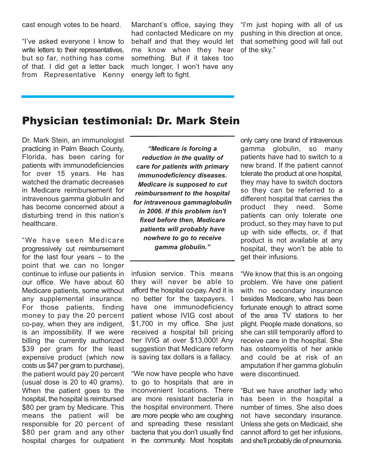cast enough votes to be heard.

"I've asked everyone I know to write letters to their representatives. but so far, nothing has come of that. I did get a letter back from Representative Kenny

Marchant's office, saying they had contacted Medicare on my behalf and that they would let me know when they hear something. But if it takes too much longer, I won't have any energy left to fight.

"I'm just hoping with all of us pushing in this direction at once, that something good will fall out of the sky."

### Physician testimonial: Dr. Mark Stein

Dr. Mark Stein, an immunologist practicing in Palm Beach County, Florida, has been caring for patients with immunodeficiencies for over 15 years. He has watched the dramatic decreases in Medicare reimbursement for intravenous gamma globulin and has become concerned about a disturbing trend in this nation's healthcare.

"We have seen Medicare progressively cut reimbursement for the last four years – to the point that we can no longer continue to infuse our patients in our office. We have about 60 Medicare patients, some without any supplemental insurance. For those patients, finding money to pay the 20 percent co-pay, when they are indigent, is an impossibility. If we were billing the currently authorized \$39 per gram for the least expensive product (which now costs us \$47 per gram to purchase), the patient would pay 20 percent (usual dose is 20 to 40 grams). When the patient goes to the hospital, the hospital is reimbursed \$80 per gram by Medicare. This means the patient will be responsible for 20 percent of \$80 per gram and any other hospital charges for outpatient

*"Medicare is forcing a reduction in the quality of care for patients with primary immunodeficiency diseases. Medicare is supposed to cut reimbursement to the hospital for intravenous gammaglobulin in 2006. If this problem isn't fixed before then, Medicare patients will probably have nowhere to go to receive gamma globulin."*

infusion service. This means they will never be able to afford the hospital co-pay. And it is no better for the taxpayers. I have one immunodeficiency patient whose IVIG cost about \$1,700 in my office. She just received a hospital bill pricing her IVIG at over \$13,000! Any suggestion that Medicare reform is saving tax dollars is a fallacy.

"We now have people who have to go to hospitals that are in inconvenient locations. There are more resistant bacteria in the hospital environment. There are more people who are coughing and spreading these resistant bacteria that you don't usually find in the community. Most hospitals

only carry one brand of intravenous gamma globulin, so many patients have had to switch to a new brand. If the patient cannot tolerate the product at one hospital, they may have to switch doctors so they can be referred to a different hospital that carries the product they need. Some patients can only tolerate one product, so they may have to put up with side effects, or, if that product is not available at any hospital, they won't be able to get their infusions.

"We know that this is an ongoing problem. We have one patient with no secondary insurance besides Medicare, who has been fortunate enough to attract some of the area TV stations to her plight. People made donations, so she can still temporarily afford to receive care in the hospital. She has osteomyelitis of her ankle and could be at risk of an amputation if her gamma globulin were discontinued.

"But we have another lady who has been in the hospital a number of times. She also does not have secondary insurance. Unless she gets on Medicaid, she cannot afford to get her infusions, and she'll probably die of pneumonia.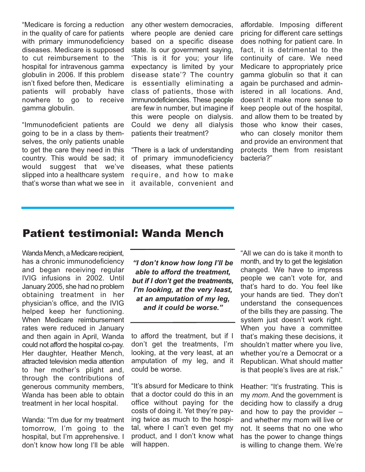"Medicare is forcing a reduction in the quality of care for patients with primary immunodeficiency diseases. Medicare is supposed to cut reimbursement to the hospital for intravenous gamma globulin in 2006. If this problem isn't fixed before then, Medicare patients will probably have nowhere to go to receive gamma globulin.

"Immunodeficient patients are going to be in a class by themselves, the only patients unable to get the care they need in this country. This would be sad; it would suggest that we've slipped into a healthcare system that's worse than what we see in any other western democracies, where people are denied care based on a specific disease state. Is our government saying, 'This is it for you; your life expectancy is limited by your disease state'? The country is essentially eliminating a class of patients, those with immunodeficiencies. These people are few in number, but imagine if this were people on dialysis. Could we deny all dialysis patients their treatment?

"There is a lack of understanding of primary immunodeficiency diseases, what these patients require, and how to make it available, convenient and

affordable. Imposing different pricing for different care settings does nothing for patient care. In fact, it is detrimental to the continuity of care. We need Medicare to appropriately price gamma globulin so that it can again be purchased and administered in all locations. And, doesn't it make more sense to keep people out of the hospital, and allow them to be treated by those who know their cases, who can closely monitor them and provide an environment that protects them from resistant bacteria?"

### Patient testimonial: Wanda Mench

Wanda Mench, a Medicare recipient, has a chronic immunodeficiency and began receiving regular IVIG infusions in 2002. Until January 2005, she had no problem obtaining treatment in her physician's office, and the IVIG helped keep her functioning. When Medicare reimbursement rates were reduced in January and then again in April, Wanda could not afford the hospital co-pay. Her daughter, Heather Mench, attracted television media attention to her mother's plight and, through the contributions of generous community members, Wanda has been able to obtain treatment in her local hospital.

Wanda: "I'm due for my treatment tomorrow, I'm going to the hospital, but I'm apprehensive. I don't know how long I'll be able

*"I don't know how long I'll be able to afford the treatment, but if I don't get the treatments, I'm looking, at the very least, at an amputation of my leg, and it could be worse."*

to afford the treatment, but if I don't get the treatments, I'm looking, at the very least, at an amputation of my leg, and it could be worse.

"It's absurd for Medicare to think that a doctor could do this in an office without paying for the costs of doing it. Yet they're paying twice as much to the hospital, where I can't even get my product, and I don't know what will happen.

"All we can do is take it month to month, and try to get the legislation changed. We have to impress people we can't vote for, and that's hard to do. You feel like your hands are tied. They don't understand the consequences of the bills they are passing. The system just doesn't work right. When you have a committee that's making these decisions, it shouldn't matter where you live, whether you're a Democrat or a Republican. What should matter is that people's lives are at risk."

Heather: "It's frustrating. This is my *mom*. And the government is deciding how to classify a drug and how to pay the provider – and whether my mom will live or not. It seems that no one who has the power to change things is willing to change them. We're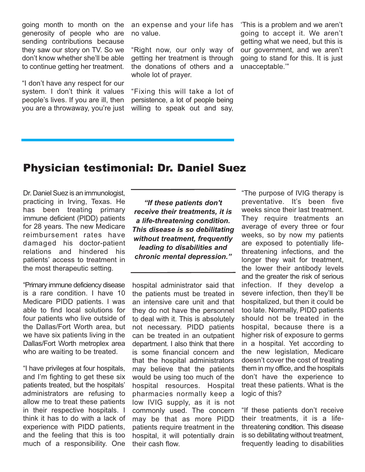going month to month on the generosity of people who are sending contributions because they saw our story on TV. So we don't know whether she'll be able to continue getting her treatment.

"I don't have any respect for our system. I don't think it values people's lives. If you are ill, then you are a throwaway, you're just an expense and your life has no value.

"Right now, our only way of getting her treatment is through the donations of others and a whole lot of prayer.

"Fixing this will take a lot of persistence, a lot of people being willing to speak out and say,

'This is a problem and we aren't going to accept it. We aren't getting what we need, but this is our government, and we aren't going to stand for this. It is just unacceptable.'"

## Physician testimonial: Dr. Daniel Suez

Dr. Daniel Suez is an immunologist, practicing in Irving, Texas. He has been treating primary immune deficient (PIDD) patients for 28 years. The new Medicare reimbursement rates have damaged his doctor-patient relations and hindered his patients' access to treatment in the most therapeutic setting.

"Primary immune deficiency disease is a rare condition. I have 10 Medicare PIDD patients. I was able to find local solutions for four patients who live outside of the Dallas/Fort Worth area, but we have six patients living in the Dallas/Fort Worth metroplex area who are waiting to be treated.

"I have privileges at four hospitals, and I'm fighting to get these six patients treated, but the hospitals' administrators are refusing to allow me to treat these patients in their respective hospitals. I think it has to do with a lack of experience with PIDD patients, and the feeling that this is too much of a responsibility. One

*"If these patients don't receive their treatments, it is a life-threatening condition. This disease is so debilitating without treatment, frequently leading to disabilities and chronic mental depression."*

hospital administrator said that the patients must be treated in an intensive care unit and that they do not have the personnel to deal with it. This is absolutely not necessary. PIDD patients can be treated in an outpatient department. I also think that there is some financial concern and that the hospital administrators may believe that the patients would be using too much of the hospital resources. Hospital pharmacies normally keep a low IVIG supply, as it is not commonly used. The concern may be that as more PIDD patients require treatment in the hospital, it will potentially drain their cash flow.

"The purpose of IVIG therapy is preventative. It's been five weeks since their last treatment. They require treatments an average of every three or four weeks, so by now my patients are exposed to potentially lifethreatening infections, and the longer they wait for treatment, the lower their antibody levels and the greater the risk of serious infection. If they develop a severe infection, then they'll be hospitalized, but then it could be too late. Normally, PIDD patients should not be treated in the hospital, because there is a higher risk of exposure to germs in a hospital. Yet according to the new legislation, Medicare doesn't cover the cost of treating them in my office, and the hospitals don't have the experience to treat these patients. What is the logic of this?

"If these patients don't receive their treatments, it is a lifethreatening condition. This disease is so debilitating without treatment, frequently leading to disabilities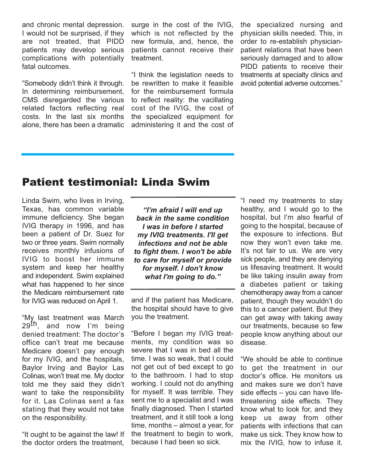and chronic mental depression. I would not be surprised, if they are not treated, that PIDD patients may develop serious complications with potentially fatal outcomes.

"Somebody didn't think it through. In determining reimbursement, CMS disregarded the various related factors reflecting real costs. In the last six months alone, there has been a dramatic surge in the cost of the IVIG, which is not reflected by the new formula, and, hence, the patients cannot receive their treatment.

"I think the legislation needs to be rewritten to make it feasible for the reimbursement formula to reflect reality: the vacillating cost of the IVIG, the cost of the specialized equipment for administering it and the cost of the specialized nursing and physician skills needed. This, in order to re-establish physicianpatient relations that have been seriously damaged and to allow PIDD patients to receive their treatments at specialty clinics and avoid potential adverse outcomes."

## Patient testimonial: Linda Swim

Linda Swim, who lives in Irving, Texas, has common variable immune deficiency. She began IVIG therapy in 1996, and has been a patient of Dr. Suez for two or three years. Swim normally receives monthly infusions of IVIG to boost her immune system and keep her healthy and independent. Swim explained what has happened to her since the Medicare reimbursement rate for IVIG was reduced on April 1.

"My last treatment was March 29<sup>th</sup>, and now I'm being denied treatment: The doctor's office can't treat me because Medicare doesn't pay enough for my IVIG, and the hospitals, Baylor Irving and Baylor Las Colinas, won't treat me. My doctor told me they said they didn't want to take the responsibility for it. Las Colinas sent a fax stating that they would not take on the responsibility.

"It ought to be against the law! If the doctor orders the treatment,

*"I'm afraid I will end up back in the same condition I was in before I started my IVIG treatments. I'll get infections and not be able to fight them. I won't be able to care for myself or provide for myself. I don't know what I'm going to do."*

and if the patient has Medicare, the hospital should have to give you the treatment.

"Before I began my IVIG treatments, my condition was so severe that I was in bed all the time. I was so weak, that I could not get out of bed except to go to the bathroom. I had to stop working. I could not do anything for myself. It was terrible. They sent me to a specialist and I was finally diagnosed. Then I started treatment, and it still took a long time, months – almost a year, for the treatment to begin to work, because I had been so sick.

"I need my treatments to stay healthy, and I would go to the hospital, but I'm also fearful of going to the hospital, because of the exposure to infections. But now they won't even take me. It's not fair to us. We are very sick people, and they are denying us lifesaving treatment. It would be like taking insulin away from a diabetes patient or taking chemotherapy away from a cancer patient, though they wouldn't do this to a cancer patient. But they can get away with taking away our treatments, because so few people know anything about our disease.

"We should be able to continue to get the treatment in our doctor's office. He monitors us and makes sure we don't have side effects – you can have lifethreatening side effects. They know what to look for, and they keep us away from other patients with infections that can make us sick. They know how to mix the IVIG, how to infuse it.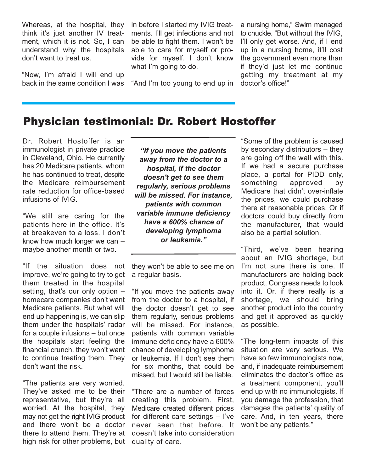Whereas, at the hospital, they think it's just another IV treatment, which it is not. So, I can understand why the hospitals don't want to treat us.

"Now, I'm afraid I will end up back in the same condition I was in before I started my IVIG treatments. I'll get infections and not be able to fight them. I won't be able to care for myself or provide for myself. I don't know what I'm going to do.

"And I'm too young to end up in

a nursing home," Swim managed to chuckle. "But without the IVIG, I'll only get worse. And, if I end up in a nursing home, it'll cost the government even more than if they'd just let me continue getting my treatment at my doctor's office!"

## Physician testimonial: Dr. Robert Hostoffer

Dr. Robert Hostoffer is an immunologist in private practice in Cleveland, Ohio. He currently has 20 Medicare patients, whom he has continued to treat, despite the Medicare reimbursement rate reduction for office-based infusions of IVIG.

"We still are caring for the patients here in the office. It's at breakeven to a loss. I don't know how much longer we can – maybe another month or two.

"If the situation does not improve, we're going to try to get them treated in the hospital setting, that's our only option – homecare companies don't want Medicare patients. But what will end up happening is, we can slip them under the hospitals' radar for a couple infusions – but once the hospitals start feeling the financial crunch, they won't want to continue treating them. They don't want the risk.

"The patients are very worried. They've asked me to be their representative, but they're all worried. At the hospital, they may not get the right IVIG product and there won't be a doctor there to attend them. They're at high risk for other problems, but

*"If you move the patients away from the doctor to a hospital, if the doctor doesn't get to see them regularly, serious problems will be missed. For instance, patients with common variable immune deficiency have a 600% chance of developing lymphoma or leukemia."*

they won't be able to see me on a regular basis.

"If you move the patients away from the doctor to a hospital, if the doctor doesn't get to see them regularly, serious problems will be missed. For instance, patients with common variable immune deficiency have a 600% chance of developing lymphoma or leukemia. If I don't see them for six months, that could be missed, but I would still be liable.

"There are a number of forces creating this problem. First, Medicare created different prices for different care settings – I've never seen that before. It doesn't take into consideration quality of care.

"Some of the problem is caused by secondary distributors – they are going off the wall with this. If we had a secure purchase place, a portal for PIDD only, something approved by Medicare that didn't over-inflate the prices, we could purchase there at reasonable prices. Or if doctors could buy directly from the manufacturer, that would also be a partial solution.

"Third, we've been hearing about an IVIG shortage, but I'm not sure there is one. If manufacturers are holding back product, Congress needs to look into it. Or, if there really is a shortage, we should bring another product into the country and get it approved as quickly as possible.

"The long-term impacts of this situation are very serious. We have so few immunologists now, and, if inadequate reimbursement eliminates the doctor's office as a treatment component, you'll end up with no immunologists. If you damage the profession, that damages the patients' quality of care. And, in ten years, there won't be any patients."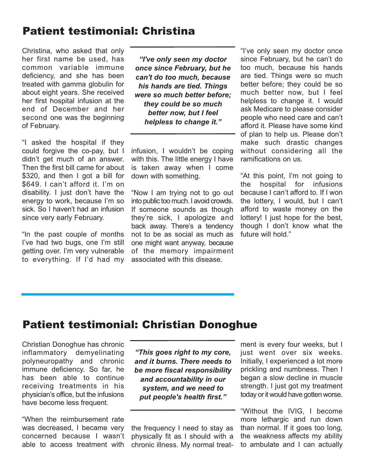# Patient testimonial: Christina

Christina, who asked that only her first name be used, has common variable immune deficiency, and she has been treated with gamma globulin for about eight years. She received her first hospital infusion at the end of December and her second one was the beginning of February.

"I asked the hospital if they could forgive the co-pay, but I didn't get much of an answer. Then the first bill came for about \$320, and then I got a bill for \$649. I can't afford it. I'm on disability. I just don't have the energy to work, because I'm so sick. So I haven't had an infusion since very early February.

"In the past couple of months I've had two bugs, one I'm still getting over. I'm very vulnerable to everything. If I'd had my

*"I've only seen my doctor once since February, but he can't do too much, because his hands are tied. Things were so much better before; they could be so much better now, but I feel helpless to change it."*

infusion, I wouldn't be coping with this. The little energy I have is taken away when I come down with something.

"Now I am trying not to go out into public too much. I avoid crowds. If someone sounds as though they're sick, I apologize and back away. There's a tendency not to be as social as much as one might want anyway, because of the memory impairment associated with this disease.

"I've only seen my doctor once since February, but he can't do too much, because his hands are tied. Things were so much better before; they could be so much better now, but I feel helpless to change it. I would ask Medicare to please consider people who need care and can't afford it. Please have some kind of plan to help us. Please don't make such drastic changes without considering all the ramifications on us.

"At this point, I'm not going to the hospital for infusions because I can't afford to. If I won the lottery, I would, but I can't afford to waste money on the lottery! I just hope for the best, though I don't know what the future will hold."

## Patient testimonial: Christian Donoghue

Christian Donoghue has chronic inflammatory demyelinating polyneuropathy and chronic immune deficiency. So far, he has been able to continue receiving treatments in his physician's office, but the infusions have become less frequent.

"When the reimbursement rate was decreased, I became very concerned because I wasn't able to access treatment with

*"This goes right to my core, and it burns. There needs to be more fiscal responsibility and accountability in our system, and we need to put people's health first."*

the frequency I need to stay as physically fit as I should with a chronic illness. My normal treatment is every four weeks, but I just went over six weeks. Initially, I experienced a lot more prickling and numbness. Then I began a slow decline in muscle strength. I just got my treatment today or it would have gotten worse.

"Without the IVIG, I become more lethargic and run down than normal. If it goes too long, the weakness affects my ability to ambulate and I can actually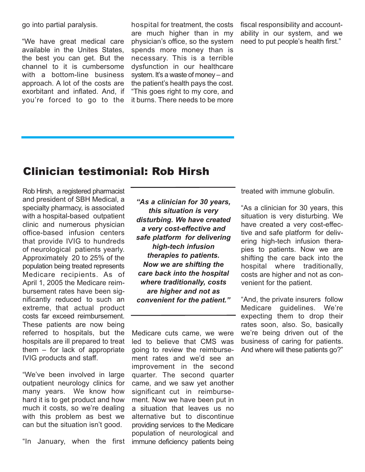go into partial paralysis.

"We have great medical care available in the Unites States, the best you can get. But the channel to it is cumbersome with a bottom-line business approach. A lot of the costs are exorbitant and inflated. And, if you're forced to go to the

hospital for treatment, the costs are much higher than in my physician's office, so the system spends more money than is necessary. This is a terrible dysfunction in our healthcare system. It's a waste of money – and the patient's health pays the cost. "This goes right to my core, and it burns. There needs to be more fiscal responsibility and accountability in our system, and we need to put people's health first."

### Clinician testimonial: Rob Hirsh

Rob Hirsh, a registered pharmacist and president of SBH Medical, a specialty pharmacy, is associated with a hospital-based outpatient clinic and numerous physician office-based infusion centers that provide IVIG to hundreds of neurological patients yearly. Approximately 20 to 25% of the population being treated represents Medicare recipients. As of April 1, 2005 the Medicare reimbursement rates have been significantly reduced to such an extreme, that actual product costs far exceed reimbursement. These patients are now being referred to hospitals, but the hospitals are ill prepared to treat them – for lack of appropriate IVIG products and staff.

"We've been involved in large outpatient neurology clinics for many years. We know how hard it is to get product and how much it costs, so we're dealing with this problem as best we can but the situation isn't good.

"In January, when the first

*"As a clinician for 30 years, this situation is very disturbing. We have created a very cost-effective and safe platform for delivering high-tech infusion therapies to patients. Now we are shifting the care back into the hospital where traditionally, costs are higher and not as convenient for the patient."*

Medicare cuts came, we were led to believe that CMS was going to review the reimbursement rates and we'd see an improvement in the second quarter. The second quarter came, and we saw yet another significant cut in reimbursement. Now we have been put in a situation that leaves us no alternative but to discontinue providing services to the Medicare population of neurological and immune deficiency patients being

treated with immune globulin.

"As a clinician for 30 years, this situation is very disturbing. We have created a very cost-effective and safe platform for delivering high-tech infusion therapies to patients. Now we are shifting the care back into the hospital where traditionally, costs are higher and not as convenient for the patient.

"And, the private insurers follow Medicare guidelines. We're expecting them to drop their rates soon, also. So, basically we're being driven out of the business of caring for patients. And where will these patients go?"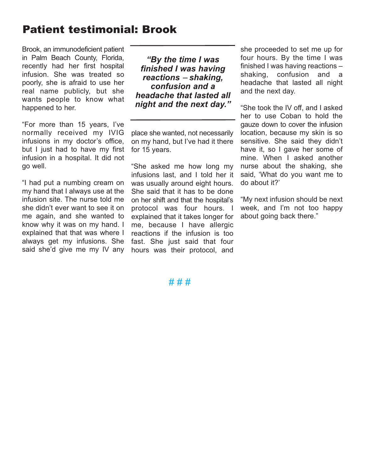# Patient testimonial: Brook

Brook, an immunodeficient patient in Palm Beach County, Florida, recently had her first hospital infusion. She was treated so poorly, she is afraid to use her real name publicly, but she wants people to know what happened to her.

"For more than 15 years, I've normally received my IVIG infusions in my doctor's office, but I just had to have my first infusion in a hospital. It did not go well.

"I had put a numbing cream on my hand that I always use at the infusion site. The nurse told me she didn't ever want to see it on me again, and she wanted to know why it was on my hand. I explained that that was where I always get my infusions. She said she'd give me my IV any

*"By the time I was finished I was having reactions* <sup>−</sup> *shaking, confusion and a headache that lasted all night and the next day."*

place she wanted, not necessarily on my hand, but I've had it there for 15 years.

"She asked me how long my infusions last, and I told her it was usually around eight hours. She said that it has to be done on her shift and that the hospital's protocol was four hours. I explained that it takes longer for me, because I have allergic reactions if the infusion is too fast. She just said that four hours was their protocol, and

she proceeded to set me up for four hours. By the time I was finished I was having reactions – shaking, confusion and a headache that lasted all night and the next day.

"She took the IV off, and I asked her to use Coban to hold the gauze down to cover the infusion location, because my skin is so sensitive. She said they didn't have it, so I gave her some of mine. When I asked another nurse about the shaking, she said, 'What do you want me to do about it?'

"My next infusion should be next week, and I'm not too happy about going back there."

### # # #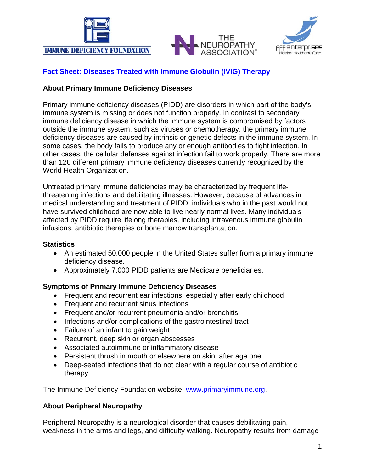





### **Fact Sheet: Diseases Treated with Immune Globulin (IVIG) Therapy**

#### **About Primary Immune Deficiency Diseases**

Primary immune deficiency diseases (PIDD) are disorders in which part of the body's immune system is missing or does not function properly. In contrast to secondary immune deficiency disease in which the immune system is compromised by factors outside the immune system, such as viruses or chemotherapy, the primary immune deficiency diseases are caused by intrinsic or genetic defects in the immune system. In some cases, the body fails to produce any or enough antibodies to fight infection. In other cases, the cellular defenses against infection fail to work properly. There are more than 120 different primary immune deficiency diseases currently recognized by the World Health Organization.

Untreated primary immune deficiencies may be characterized by frequent lifethreatening infections and debilitating illnesses. However, because of advances in medical understanding and treatment of PIDD, individuals who in the past would not have survived childhood are now able to live nearly normal lives. Many individuals affected by PIDD require lifelong therapies, including intravenous immune globulin infusions, antibiotic therapies or bone marrow transplantation.

#### **Statistics**

- An estimated 50,000 people in the United States suffer from a primary immune deficiency disease.
- Approximately 7,000 PIDD patients are Medicare beneficiaries.

### **Symptoms of Primary Immune Deficiency Diseases**

- Frequent and recurrent ear infections, especially after early childhood
- Frequent and recurrent sinus infections
- Frequent and/or recurrent pneumonia and/or bronchitis
- Infections and/or complications of the gastrointestinal tract
- Failure of an infant to gain weight
- Recurrent, deep skin or organ abscesses
- Associated autoimmune or inflammatory disease
- Persistent thrush in mouth or elsewhere on skin, after age one
- Deep-seated infections that do not clear with a regular course of antibiotic therapy

The Immune Deficiency Foundation website: [www.primaryimmune.org.](http://www.primaryimmune.org/)

### **About Peripheral Neuropathy**

Peripheral Neuropathy is a neurological disorder that causes debilitating pain, weakness in the arms and legs, and difficulty walking. Neuropathy results from damage